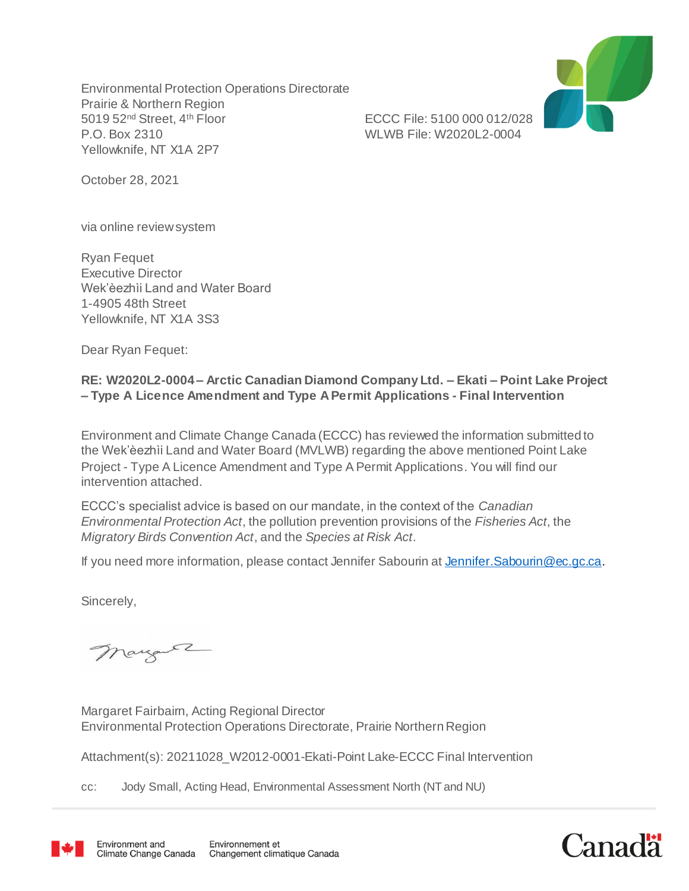Environmental Protection Operations Directorate Prairie & Northern Region 5019 52nd Street, 4th Floor ECCC File: 5100 000 012/028 P.O. Box 2310 WLWB File: W2020L2-0004 Yellowknife, NT X1A 2P7



October 28, 2021

via online review system

Ryan Fequet Executive Director Wek'èezhìi Land and Water Board 1-4905 48th Street Yellowknife, NT X1A 3S3

Dear Ryan Fequet:

#### **RE: W2020L2-0004 – Arctic Canadian Diamond Company Ltd. – Ekati – Point Lake Project – Type A Licence Amendment and Type A Permit Applications - Final Intervention**

Environment and Climate Change Canada (ECCC) has reviewed the information submitted to the Wek'èezhìi Land and Water Board (MVLWB) regarding the above mentioned Point Lake Project - Type A Licence Amendment and Type A Permit Applications. You will find our intervention attached.

ECCC's specialist advice is based on our mandate, in the context of the *Canadian Environmental Protection Act*, the pollution prevention provisions of the *Fisheries Act*, the *Migratory Birds Convention Act*, and the *Species at Risk Act*.

If you need more information, please contact Jennifer Sabourin at Jennifer. Sabourin@ec.gc.ca.

Sincerely,

mayore

Margaret Fairbairn, Acting Regional Director Environmental Protection Operations Directorate, Prairie Northern Region

Attachment(s): 20211028\_W2012-0001-Ekati-Point Lake-ECCC Final Intervention

cc: Jody Small, Acting Head, Environmental Assessment North (NT and NU)



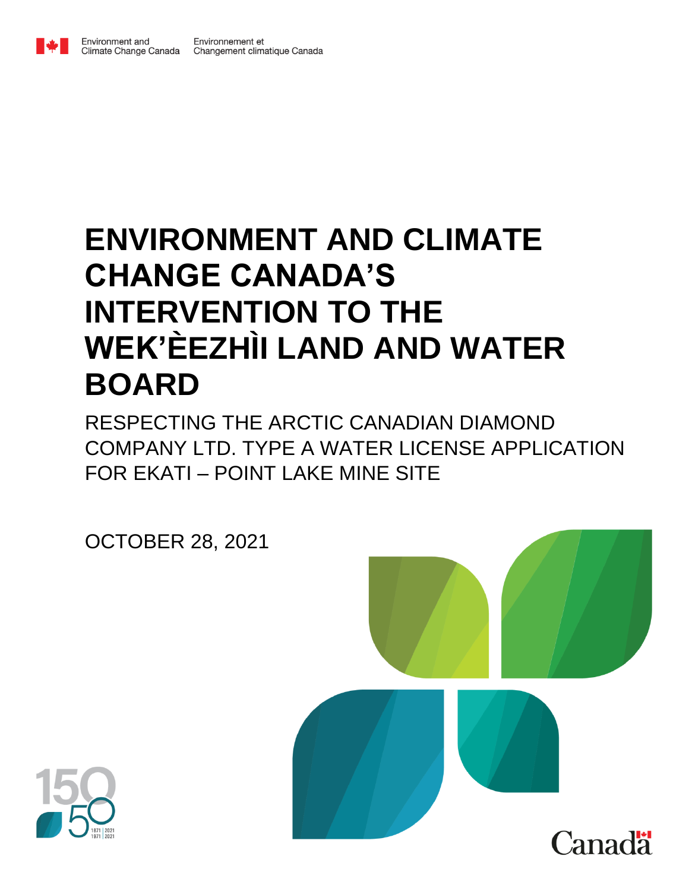

## **ENVIRONMENT AND CLIMATE CHANGE CANADA'S INTERVENTION TO THE** WEK'EEZHII LAND AND WATER **BOARD**

RESPECTING THE ARCTIC CANADIAN DIAMOND COMPANY LTD. TYPE A WATER LICENSE APPLICATION FOR EKATI - POINT LAKE MINE SITE

**OCTOBER 28, 2021** 



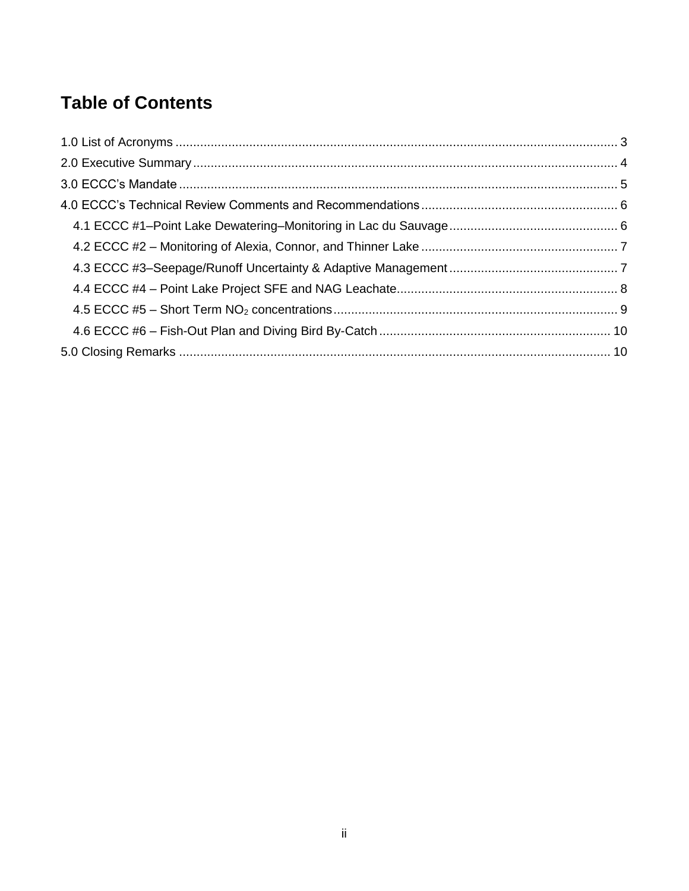## **Table of Contents**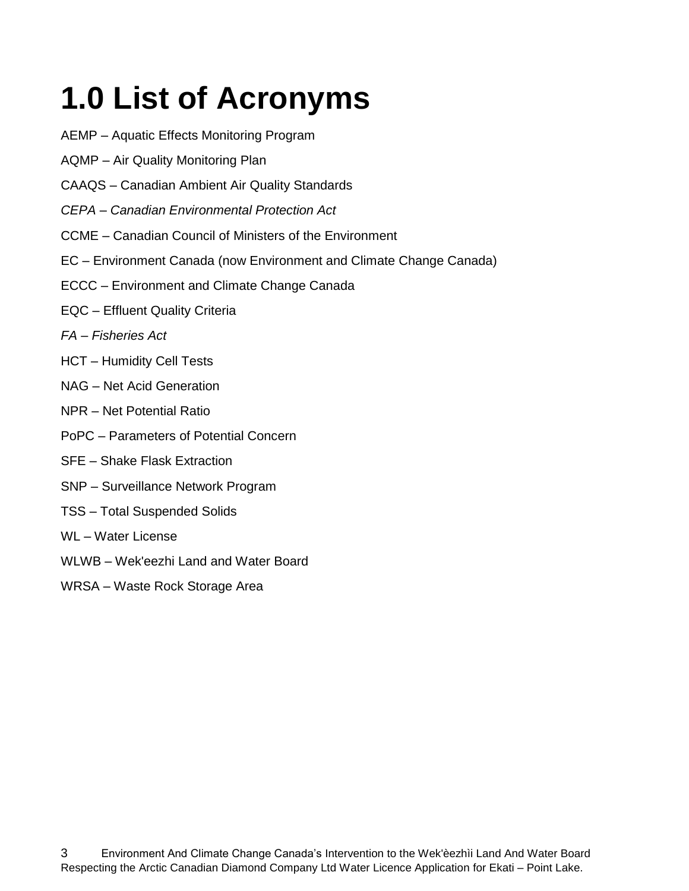# <span id="page-3-0"></span>**1.0 List of Acronyms**

- AEMP Aquatic Effects Monitoring Program
- **AQMP** Air Quality Monitoring Plan
- **CAAQS** Canadian Ambient Air Quality Standards
- CEPA Canadian Environmental Protection Act
- CCME Canadian Council of Ministers of the Environment
- EC Environment Canada (now Environment and Climate Change Canada)
- ECCC Environment and Climate Change Canada
- EQC Effluent Quality Criteria
- FA Fisheries Act
- **HCT** Humidity Cell Tests
- NAG Net Acid Generation
- NPR Net Potential Ratio
- PoPC Parameters of Potential Concern
- **SFE** Shake Flask Extraction
- SNP Surveillance Network Program
- **TSS Total Suspended Solids**
- WL-Water License
- WLWB Wek'eezhi Land and Water Board
- WRSA Waste Rock Storage Area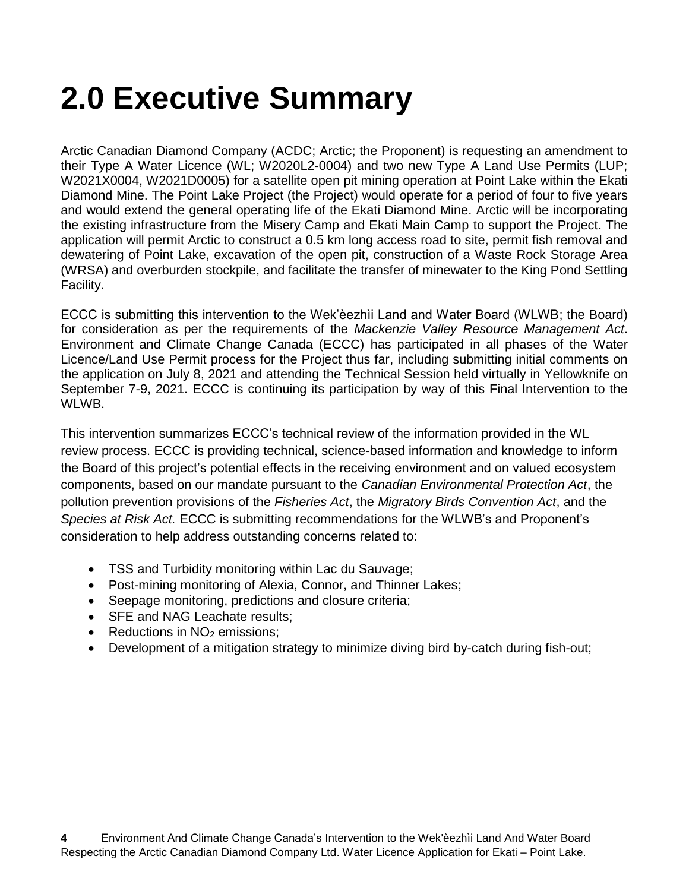## <span id="page-4-0"></span>**2.0 Executive Summary**

Arctic Canadian Diamond Company (ACDC; Arctic; the Proponent) is requesting an amendment to their Type A Water Licence (WL; W2020L2-0004) and two new Type A Land Use Permits (LUP; W2021X0004, W2021D0005) for a satellite open pit mining operation at Point Lake within the Ekati Diamond Mine. The Point Lake Project (the Project) would operate for a period of four to five years and would extend the general operating life of the Ekati Diamond Mine. Arctic will be incorporating the existing infrastructure from the Misery Camp and Ekati Main Camp to support the Project. The application will permit Arctic to construct a 0.5 km long access road to site, permit fish removal and dewatering of Point Lake, excavation of the open pit, construction of a Waste Rock Storage Area (WRSA) and overburden stockpile, and facilitate the transfer of minewater to the King Pond Settling Facility.

ECCC is submitting this intervention to the Wek'èezhìi Land and Water Board (WLWB; the Board) for consideration as per the requirements of the *Mackenzie Valley Resource Management Act*. Environment and Climate Change Canada (ECCC) has participated in all phases of the Water Licence/Land Use Permit process for the Project thus far, including submitting initial comments on the application on July 8, 2021 and attending the Technical Session held virtually in Yellowknife on September 7-9, 2021. ECCC is continuing its participation by way of this Final Intervention to the WLWB.

This intervention summarizes ECCC's technical review of the information provided in the WL review process. ECCC is providing technical, science-based information and knowledge to inform the Board of this project's potential effects in the receiving environment and on valued ecosystem components, based on our mandate pursuant to the *Canadian Environmental Protection Act*, the pollution prevention provisions of the *Fisheries Act*, the *Migratory Birds Convention Act*, and the *Species at Risk Act.* ECCC is submitting recommendations for the WLWB's and Proponent's consideration to help address outstanding concerns related to:

- TSS and Turbidity monitoring within Lac du Sauvage;
- Post-mining monitoring of Alexia, Connor, and Thinner Lakes;
- Seepage monitoring, predictions and closure criteria;
- SFE and NAG Leachate results;
- Reductions in  $NO<sub>2</sub>$  emissions;
- Development of a mitigation strategy to minimize diving bird by-catch during fish-out;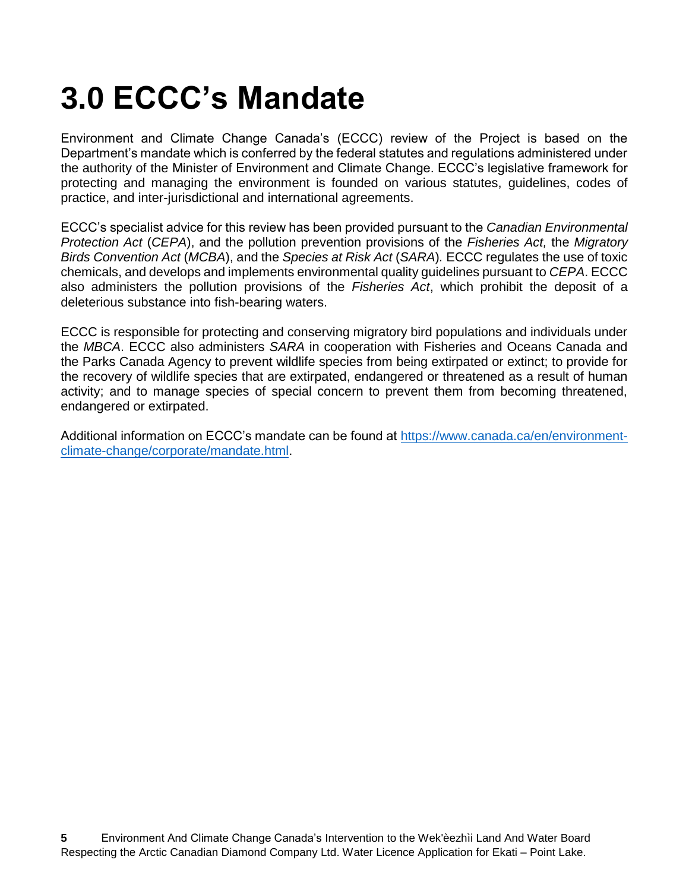## <span id="page-5-0"></span>**3.0 ECCC's Mandate**

Environment and Climate Change Canada's (ECCC) review of the Project is based on the Department's mandate which is conferred by the federal statutes and regulations administered under the authority of the Minister of Environment and Climate Change. ECCC's legislative framework for protecting and managing the environment is founded on various statutes, guidelines, codes of practice, and inter-jurisdictional and international agreements.

ECCC's specialist advice for this review has been provided pursuant to the *Canadian Environmental Protection Act* (*CEPA*), and the pollution prevention provisions of the *Fisheries Act,* the *Migratory Birds Convention Act* (*MCBA*), and the *Species at Risk Act* (*SARA*)*.* ECCC regulates the use of toxic chemicals, and develops and implements environmental quality guidelines pursuant to *CEPA*. ECCC also administers the pollution provisions of the *Fisheries Act*, which prohibit the deposit of a deleterious substance into fish-bearing waters.

ECCC is responsible for protecting and conserving migratory bird populations and individuals under the *MBCA*. ECCC also administers *SARA* in cooperation with Fisheries and Oceans Canada and the Parks Canada Agency to prevent wildlife species from being extirpated or extinct; to provide for the recovery of wildlife species that are extirpated, endangered or threatened as a result of human activity; and to manage species of special concern to prevent them from becoming threatened, endangered or extirpated.

Additional information on ECCC's mandate can be found at [https://www.canada.ca/en/environment](https://www.canada.ca/en/environment-climate-change/corporate/mandate.html)[climate-change/corporate/mandate.html.](https://www.canada.ca/en/environment-climate-change/corporate/mandate.html)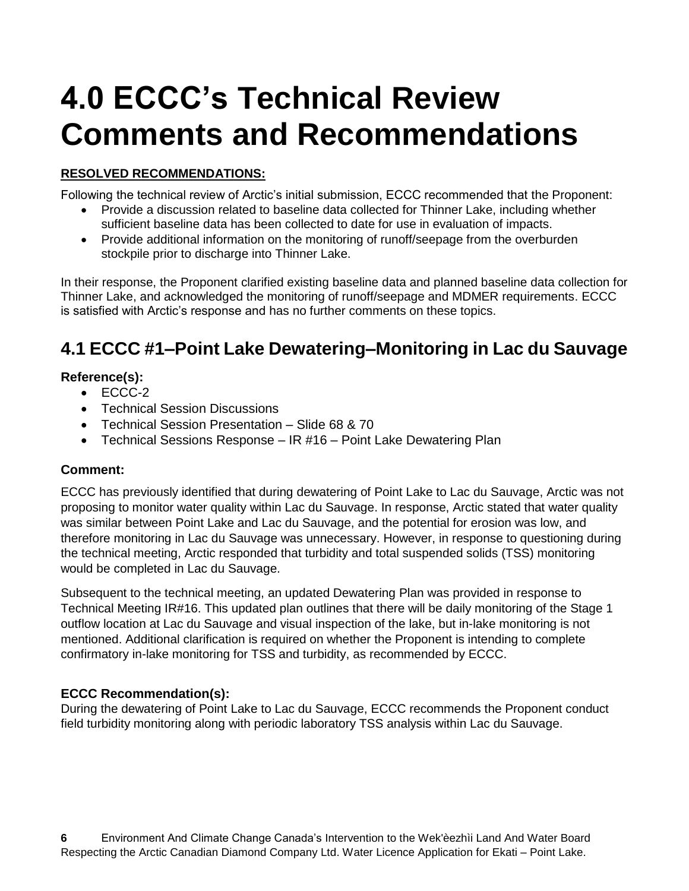## <span id="page-6-0"></span>**4.0 ECCC's Technical Review Comments and Recommendations**

#### **RESOLVED RECOMMENDATIONS:**

Following the technical review of Arctic's initial submission, ECCC recommended that the Proponent:

- Provide a discussion related to baseline data collected for Thinner Lake, including whether sufficient baseline data has been collected to date for use in evaluation of impacts.
- Provide additional information on the monitoring of runoff/seepage from the overburden stockpile prior to discharge into Thinner Lake.

In their response, the Proponent clarified existing baseline data and planned baseline data collection for Thinner Lake, and acknowledged the monitoring of runoff/seepage and MDMER requirements. ECCC is satisfied with Arctic's response and has no further comments on these topics.

### <span id="page-6-1"></span>**4.1 ECCC #1–Point Lake Dewatering–Monitoring in Lac du Sauvage**

#### **Reference(s):**

- ECCC-2
- Technical Session Discussions
- Technical Session Presentation Slide 68 & 70
- Technical Sessions Response IR #16 Point Lake Dewatering Plan

#### **Comment:**

ECCC has previously identified that during dewatering of Point Lake to Lac du Sauvage, Arctic was not proposing to monitor water quality within Lac du Sauvage. In response, Arctic stated that water quality was similar between Point Lake and Lac du Sauvage, and the potential for erosion was low, and therefore monitoring in Lac du Sauvage was unnecessary. However, in response to questioning during the technical meeting, Arctic responded that turbidity and total suspended solids (TSS) monitoring would be completed in Lac du Sauvage.

Subsequent to the technical meeting, an updated Dewatering Plan was provided in response to Technical Meeting IR#16. This updated plan outlines that there will be daily monitoring of the Stage 1 outflow location at Lac du Sauvage and visual inspection of the lake, but in-lake monitoring is not mentioned. Additional clarification is required on whether the Proponent is intending to complete confirmatory in-lake monitoring for TSS and turbidity, as recommended by ECCC.

#### **ECCC Recommendation(s):**

During the dewatering of Point Lake to Lac du Sauvage, ECCC recommends the Proponent conduct field turbidity monitoring along with periodic laboratory TSS analysis within Lac du Sauvage.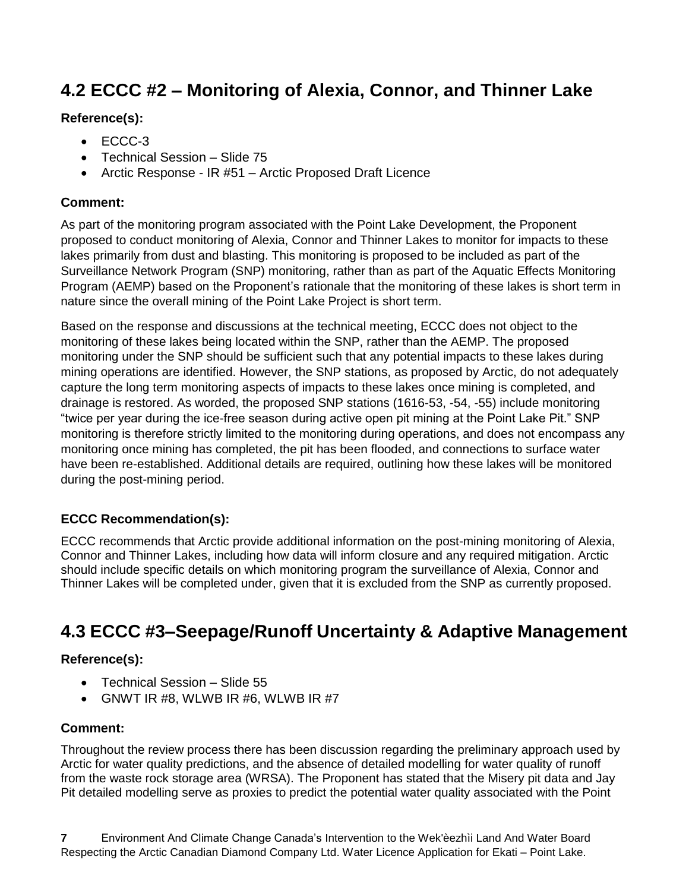### <span id="page-7-0"></span>**4.2 ECCC #2 – Monitoring of Alexia, Connor, and Thinner Lake**

#### **Reference(s):**

- $\bullet$  ECCC-3
- Technical Session Slide 75
- Arctic Response IR #51 Arctic Proposed Draft Licence

#### **Comment:**

As part of the monitoring program associated with the Point Lake Development, the Proponent proposed to conduct monitoring of Alexia, Connor and Thinner Lakes to monitor for impacts to these lakes primarily from dust and blasting. This monitoring is proposed to be included as part of the Surveillance Network Program (SNP) monitoring, rather than as part of the Aquatic Effects Monitoring Program (AEMP) based on the Proponent's rationale that the monitoring of these lakes is short term in nature since the overall mining of the Point Lake Project is short term.

Based on the response and discussions at the technical meeting, ECCC does not object to the monitoring of these lakes being located within the SNP, rather than the AEMP. The proposed monitoring under the SNP should be sufficient such that any potential impacts to these lakes during mining operations are identified. However, the SNP stations, as proposed by Arctic, do not adequately capture the long term monitoring aspects of impacts to these lakes once mining is completed, and drainage is restored. As worded, the proposed SNP stations (1616-53, -54, -55) include monitoring "twice per year during the ice-free season during active open pit mining at the Point Lake Pit." SNP monitoring is therefore strictly limited to the monitoring during operations, and does not encompass any monitoring once mining has completed, the pit has been flooded, and connections to surface water have been re-established. Additional details are required, outlining how these lakes will be monitored during the post-mining period.

#### **ECCC Recommendation(s):**

ECCC recommends that Arctic provide additional information on the post-mining monitoring of Alexia, Connor and Thinner Lakes, including how data will inform closure and any required mitigation. Arctic should include specific details on which monitoring program the surveillance of Alexia, Connor and Thinner Lakes will be completed under, given that it is excluded from the SNP as currently proposed.

### <span id="page-7-1"></span>**4.3 ECCC #3–Seepage/Runoff Uncertainty & Adaptive Management**

#### **Reference(s):**

- Technical Session Slide 55
- GNWT IR #8, WLWB IR #6, WLWB IR #7

#### **Comment:**

Throughout the review process there has been discussion regarding the preliminary approach used by Arctic for water quality predictions, and the absence of detailed modelling for water quality of runoff from the waste rock storage area (WRSA). The Proponent has stated that the Misery pit data and Jay Pit detailed modelling serve as proxies to predict the potential water quality associated with the Point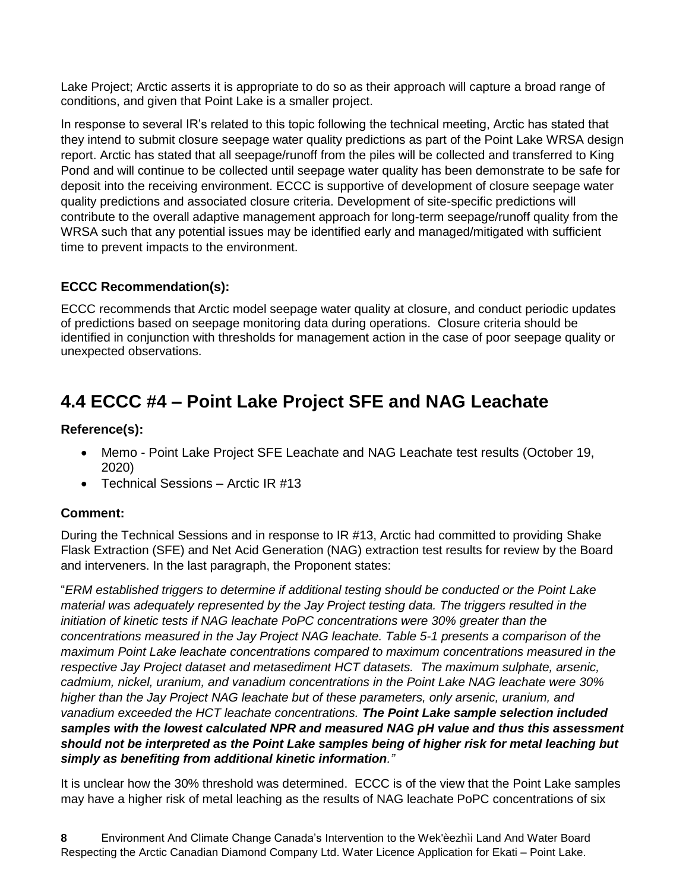Lake Project; Arctic asserts it is appropriate to do so as their approach will capture a broad range of conditions, and given that Point Lake is a smaller project.

In response to several IR's related to this topic following the technical meeting, Arctic has stated that they intend to submit closure seepage water quality predictions as part of the Point Lake WRSA design report. Arctic has stated that all seepage/runoff from the piles will be collected and transferred to King Pond and will continue to be collected until seepage water quality has been demonstrate to be safe for deposit into the receiving environment. ECCC is supportive of development of closure seepage water quality predictions and associated closure criteria. Development of site-specific predictions will contribute to the overall adaptive management approach for long-term seepage/runoff quality from the WRSA such that any potential issues may be identified early and managed/mitigated with sufficient time to prevent impacts to the environment.

#### **ECCC Recommendation(s):**

ECCC recommends that Arctic model seepage water quality at closure, and conduct periodic updates of predictions based on seepage monitoring data during operations. Closure criteria should be identified in conjunction with thresholds for management action in the case of poor seepage quality or unexpected observations.

### <span id="page-8-0"></span>**4.4 ECCC #4 – Point Lake Project SFE and NAG Leachate**

#### **Reference(s):**

- Memo Point Lake Project SFE Leachate and NAG Leachate test results (October 19, 2020)
- Technical Sessions Arctic IR #13

#### **Comment:**

During the Technical Sessions and in response to IR #13, Arctic had committed to providing Shake Flask Extraction (SFE) and Net Acid Generation (NAG) extraction test results for review by the Board and interveners. In the last paragraph, the Proponent states:

"*ERM established triggers to determine if additional testing should be conducted or the Point Lake material was adequately represented by the Jay Project testing data. The triggers resulted in the initiation of kinetic tests if NAG leachate PoPC concentrations were 30% greater than the concentrations measured in the Jay Project NAG leachate. Table 5-1 presents a comparison of the maximum Point Lake leachate concentrations compared to maximum concentrations measured in the respective Jay Project dataset and metasediment HCT datasets. The maximum sulphate, arsenic, cadmium, nickel, uranium, and vanadium concentrations in the Point Lake NAG leachate were 30% higher than the Jay Project NAG leachate but of these parameters, only arsenic, uranium, and vanadium exceeded the HCT leachate concentrations. The Point Lake sample selection included samples with the lowest calculated NPR and measured NAG pH value and thus this assessment should not be interpreted as the Point Lake samples being of higher risk for metal leaching but simply as benefiting from additional kinetic information."*

It is unclear how the 30% threshold was determined. ECCC is of the view that the Point Lake samples may have a higher risk of metal leaching as the results of NAG leachate PoPC concentrations of six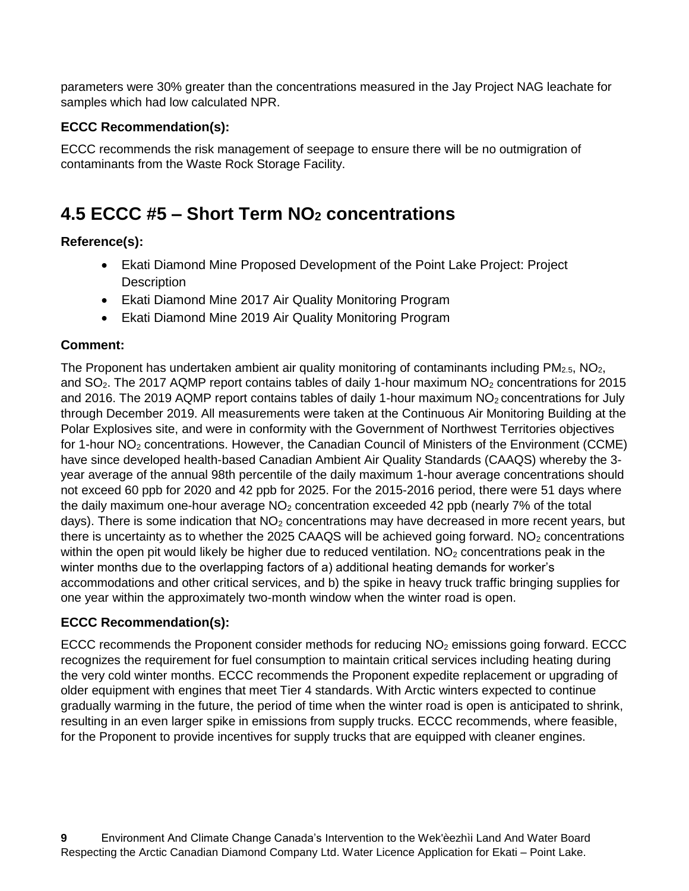parameters were 30% greater than the concentrations measured in the Jay Project NAG leachate for samples which had low calculated NPR.

#### **ECCC Recommendation(s):**

ECCC recommends the risk management of seepage to ensure there will be no outmigration of contaminants from the Waste Rock Storage Facility.

### <span id="page-9-0"></span>**4.5 ECCC #5 – Short Term NO<sup>2</sup> concentrations**

#### **Reference(s):**

- Ekati Diamond Mine Proposed Development of the Point Lake Project: Project **Description**
- Ekati Diamond Mine 2017 Air Quality Monitoring Program
- Ekati Diamond Mine 2019 Air Quality Monitoring Program

#### **Comment:**

The Proponent has undertaken ambient air quality monitoring of contaminants including  $PM_{2.5}$ ,  $NO<sub>2</sub>$ , and  $SO<sub>2</sub>$ . The 2017 AQMP report contains tables of daily 1-hour maximum  $NO<sub>2</sub>$  concentrations for 2015 and 2016. The 2019 AQMP report contains tables of daily 1-hour maximum  $NO<sub>2</sub>$  concentrations for July through December 2019. All measurements were taken at the Continuous Air Monitoring Building at the Polar Explosives site, and were in conformity with the Government of Northwest Territories objectives for 1-hour NO<sub>2</sub> concentrations. However, the Canadian Council of Ministers of the Environment (CCME) have since developed health-based Canadian Ambient Air Quality Standards (CAAQS) whereby the 3 year average of the annual 98th percentile of the daily maximum 1-hour average concentrations should not exceed 60 ppb for 2020 and 42 ppb for 2025. For the 2015-2016 period, there were 51 days where the daily maximum one-hour average  $NO<sub>2</sub>$  concentration exceeded 42 ppb (nearly 7% of the total days). There is some indication that  $NO<sub>2</sub>$  concentrations may have decreased in more recent years, but there is uncertainty as to whether the 2025 CAAQS will be achieved going forward.  $NO<sub>2</sub>$  concentrations within the open pit would likely be higher due to reduced ventilation.  $NO<sub>2</sub>$  concentrations peak in the winter months due to the overlapping factors of a) additional heating demands for worker's accommodations and other critical services, and b) the spike in heavy truck traffic bringing supplies for one year within the approximately two-month window when the winter road is open.

#### **ECCC Recommendation(s):**

ECCC recommends the Proponent consider methods for reducing  $NO<sub>2</sub>$  emissions going forward. ECCC recognizes the requirement for fuel consumption to maintain critical services including heating during the very cold winter months. ECCC recommends the Proponent expedite replacement or upgrading of older equipment with engines that meet Tier 4 standards. With Arctic winters expected to continue gradually warming in the future, the period of time when the winter road is open is anticipated to shrink, resulting in an even larger spike in emissions from supply trucks. ECCC recommends, where feasible, for the Proponent to provide incentives for supply trucks that are equipped with cleaner engines.